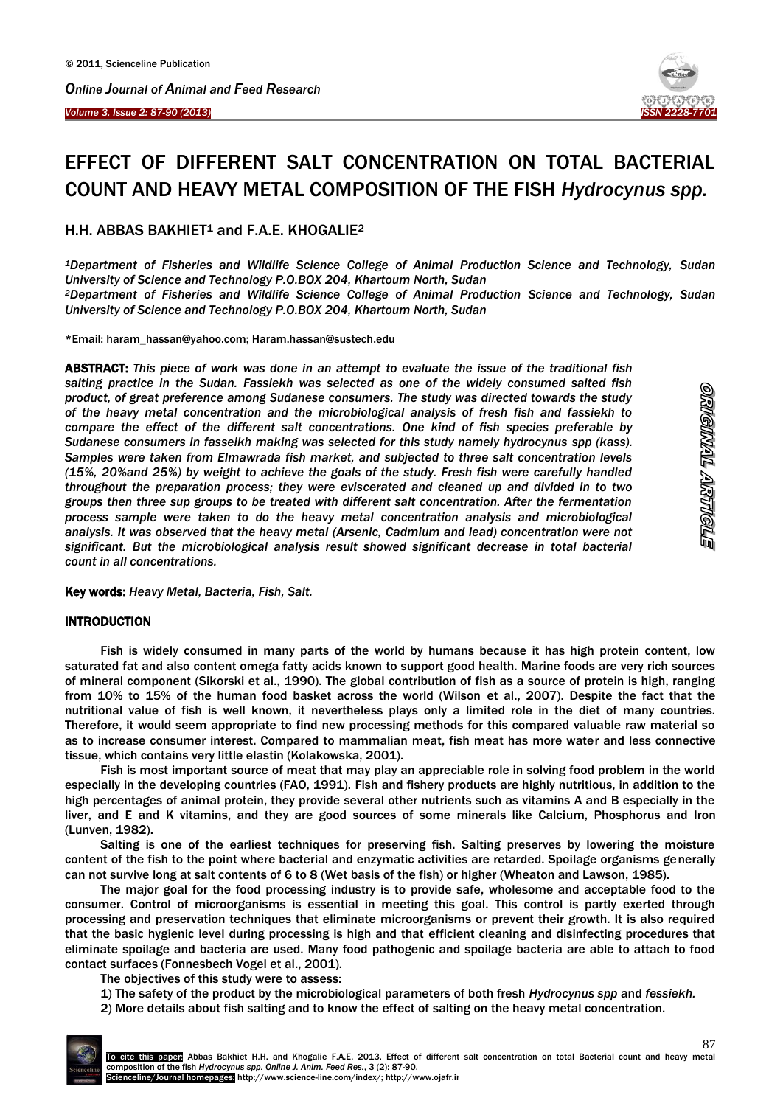Ī

 $\overline{\phantom{a}}$ 



# EFFECT OF DIFFERENT SALT CONCENTRATION ON TOTAL BACTERIAL COUNT AND HEAVY METAL COMPOSITION OF THE FISH *Hydrocynus spp.*

H.H. ABBAS BAKHIET<sup>1</sup> and F.A.E. KHOGALIE<sup>2</sup>

*<sup>1</sup>Department of Fisheries and Wildlife Science College of Animal Production Science and Technology, Sudan University of Science and Technology P.O.BOX 204, Khartoum North, Sudan <sup>2</sup>Department of Fisheries and Wildlife Science College of Animal Production Science and Technology, Sudan University of Science and Technology P.O.BOX 204, Khartoum North, Sudan*

\*Email: [haram\\_hassan@yahoo.com;](mailto:haram_hassan@yahoo.com) Haram.hassan@sustech.edu

ABSTRACT: *This piece of work was done in an attempt to evaluate the issue of the traditional fish salting practice in the Sudan. Fassiekh was selected as one of the widely consumed salted fish product, of great preference among Sudanese consumers. The study was directed towards the study of the heavy metal concentration and the microbiological analysis of fresh fish and fassiekh to compare the effect of the different salt concentrations. One kind of fish species preferable by Sudanese consumers in fasseikh making was selected for this study namely hydrocynus spp (kass). Samples were taken from Elmawrada fish market, and subjected to three salt concentration levels (15%, 20%and 25%) by weight to achieve the goals of the study. Fresh fish were carefully handled throughout the preparation process; they were eviscerated and cleaned up and divided in to two groups then three sup groups to be treated with different salt concentration. After the fermentation process sample were taken to do the heavy metal concentration analysis and microbiological analysis. It was observed that the heavy metal (Arsenic, Cadmium and lead) concentration were not significant. But the microbiological analysis result showed significant decrease in total bacterial count in all concentrations.*

Key words: *Heavy Metal, Bacteria, Fish, Salt.*

#### **INTRODUCTION**

-

Fish is widely consumed in many parts of the world by humans because it has high protein content, low saturated fat and also content omega fatty acids known to support good health. Marine foods are very rich sources of mineral component (Sikorski et al., 1990). The global contribution of fish as a source of protein is high, ranging from 10% to 15% of the human food basket across the world (Wilson et al., 2007). Despite the fact that the nutritional value of fish is well known, it nevertheless plays only a limited role in the diet of many countries. Therefore, it would seem appropriate to find new processing methods for this compared valuable raw material so as to increase consumer interest. Compared to mammalian meat, fish meat has more water and less connective tissue, which contains very little elastin (Kolakowska, 2001).

Fish is most important source of meat that may play an appreciable role in solving food problem in the world especially in the developing countries (FAO, 1991). Fish and fishery products are highly nutritious, in addition to the high percentages of animal protein, they provide several other nutrients such as vitamins A and B especially in the liver, and E and K vitamins, and they are good sources of some minerals like Calcium, Phosphorus and Iron (Lunven, 1982).

Salting is one of the earliest techniques for preserving fish. Salting preserves by lowering the moisture content of the fish to the point where bacterial and enzymatic activities are retarded. Spoilage organisms generally can not survive long at salt contents of 6 to 8 (Wet basis of the fish) or higher (Wheaton and Lawson, 1985).

The major goal for the food processing industry is to provide safe, wholesome and acceptable food to the consumer. Control of microorganisms is essential in meeting this goal. This control is partly exerted through processing and preservation techniques that eliminate microorganisms or prevent their growth. It is also required that the basic hygienic level during processing is high and that efficient cleaning and disinfecting procedures that eliminate spoilage and bacteria are used. Many food pathogenic and spoilage bacteria are able to attach to food contact surfaces (Fonnesbech Vogel et al., 2001).

The objectives of this study were to assess:

1) The safety of the product by the microbiological parameters of both fresh *Hydrocynus spp* and *fessiekh.*

2) More details about fish salting and to know the effect of salting on the heavy metal concentration.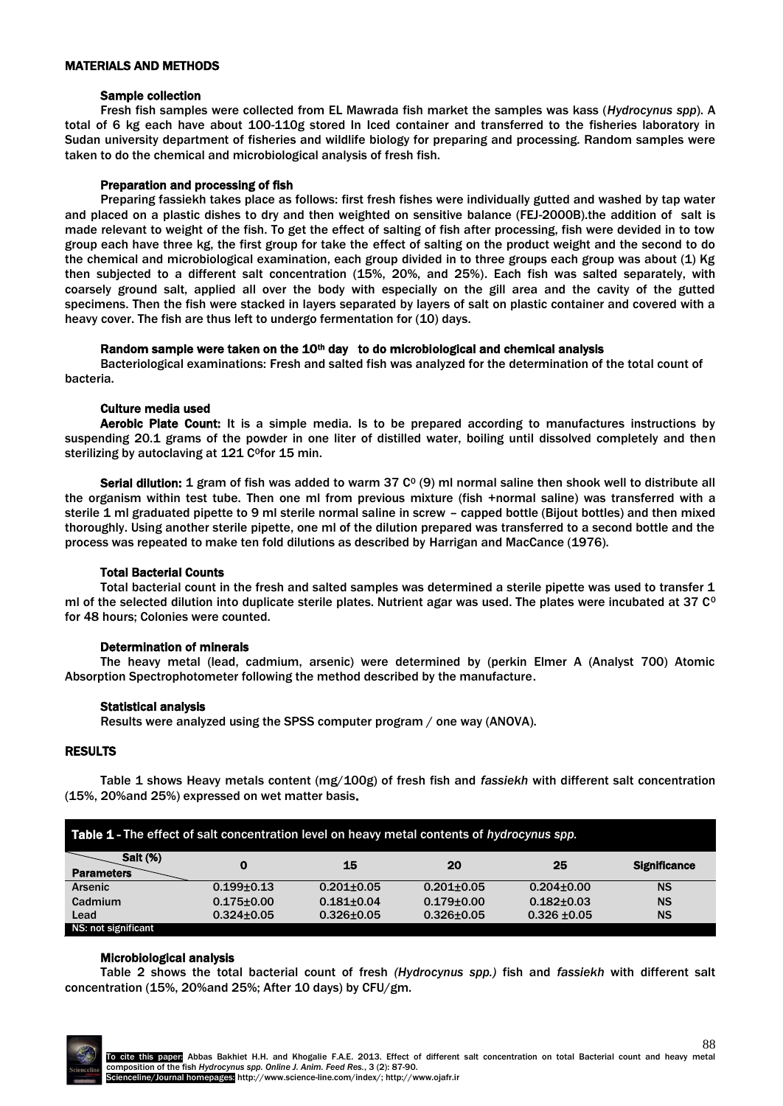#### MATERIALS AND METHODS

#### Sample collection

Fresh fish samples were collected from EL Mawrada fish market the samples was kass (*Hydrocynus spp*). A total of 6 kg each have about 100-110g stored In Iced container and transferred to the fisheries laboratory in Sudan university department of fisheries and wildlife biology for preparing and processing. Random samples were taken to do the chemical and microbiological analysis of fresh fish.

#### Preparation and processing of fish

Preparing fassiekh takes place as follows: first fresh fishes were individually gutted and washed by tap water and placed on a plastic dishes to dry and then weighted on sensitive balance (FEJ-2000B).the addition of salt is made relevant to weight of the fish. To get the effect of salting of fish after processing, fish were devided in to tow group each have three kg, the first group for take the effect of salting on the product weight and the second to do the chemical and microbiological examination, each group divided in to three groups each group was about (1) Kg then subjected to a different salt concentration (15%, 20%, and 25%). Each fish was salted separately, with coarsely ground salt, applied all over the body with especially on the gill area and the cavity of the gutted specimens. Then the fish were stacked in layers separated by layers of salt on plastic container and covered with a heavy cover. The fish are thus left to undergo fermentation for (10) days.

# Random sample were taken on the  $10<sup>th</sup>$  day to do microbiological and chemical analysis

Bacteriological examinations: Fresh and salted fish was analyzed for the determination of the total count of bacteria.

#### Culture media used

Aerobic Plate Count: It is a simple media. Is to be prepared according to manufactures instructions by suspending 20.1 grams of the powder in one liter of distilled water, boiling until dissolved completely and then sterilizing by autoclaving at 121 C<sup>o</sup>for 15 min.

**Serial dilution: 1** gram of fish was added to warm 37  $C^{\circ}$  (9) ml normal saline then shook well to distribute all the organism within test tube. Then one ml from previous mixture (fish +normal saline) was transferred with a sterile 1 ml graduated pipette to 9 ml sterile normal saline in screw – capped bottle (Bijout bottles) and then mixed thoroughly. Using another sterile pipette, one ml of the dilution prepared was transferred to a second bottle and the process was repeated to make ten fold dilutions as described by Harrigan and MacCance (1976).

# Total Bacterial Counts

Total bacterial count in the fresh and salted samples was determined a sterile pipette was used to transfer 1 ml of the selected dilution into duplicate sterile plates. Nutrient agar was used. The plates were incubated at 37  $C^{\circ}$ for 48 hours; Colonies were counted.

# Determination of minerals

The heavy metal (lead, cadmium, arsenic) were determined by (perkin Elmer A (Analyst 700) Atomic Absorption Spectrophotometer following the method described by the manufacture.

# Statistical analysis

Results were analyzed using the SPSS computer program / one way (ANOVA).

# RESULTS

Table 1 shows Heavy metals content (mg/100g) of fresh fish and *fassiekh* with different salt concentration (15%, 20%and 25%) expressed on wet matter basis.

| Table 1 - The effect of salt concentration level on heavy metal contents of hydrocynus spp. |                  |                  |                  |                  |                     |  |
|---------------------------------------------------------------------------------------------|------------------|------------------|------------------|------------------|---------------------|--|
| <b>Salt (%)</b><br><b>Parameters</b>                                                        | 0                | 15               | 20               | 25               | <b>Significance</b> |  |
| <b>Arsenic</b>                                                                              | $0.199 + 0.13$   | $0.201 + 0.05$   | $0.201 + 0.05$   | $0.204 \pm 0.00$ | <b>NS</b>           |  |
| Cadmium                                                                                     | $0.175 \pm 0.00$ | $0.181 + 0.04$   | $0.179 + 0.00$   | $0.182 + 0.03$   | <b>NS</b>           |  |
| Lead                                                                                        | $0.324 \pm 0.05$ | $0.326 \pm 0.05$ | $0.326 \pm 0.05$ | $0.326 \pm 0.05$ | <b>NS</b>           |  |
| NS: not significant                                                                         |                  |                  |                  |                  |                     |  |

# Microbiological analysis

Table 2 shows the total bacterial count of fresh *(Hydrocynus spp.)* fish and *fassiekh* with different salt concentration (15%, 20%and 25%; After 10 days) by CFU/gm.

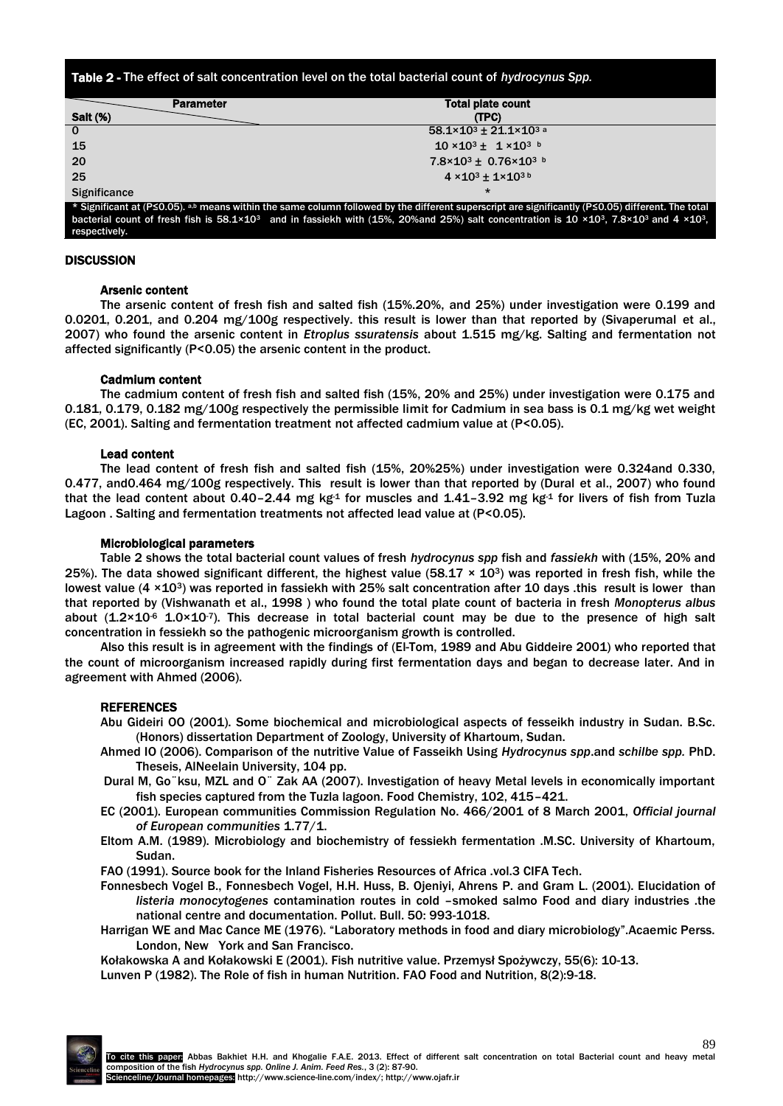Table 2 - The effect of salt concentration level on the total bacterial count of *hydrocynus Spp.*

| <b>Parameter</b>                                                                                                                       | <b>Total plate count</b>                                                                                                                                                                                                                                                                                                                                                      |     |
|----------------------------------------------------------------------------------------------------------------------------------------|-------------------------------------------------------------------------------------------------------------------------------------------------------------------------------------------------------------------------------------------------------------------------------------------------------------------------------------------------------------------------------|-----|
| <b>Salt (%)</b>                                                                                                                        | (TPC)                                                                                                                                                                                                                                                                                                                                                                         |     |
| $\mathbf 0$                                                                                                                            | $58.1 \times 10^{3} \pm 21.1 \times 10^{3}$ a                                                                                                                                                                                                                                                                                                                                 |     |
| 15                                                                                                                                     | $10 \times 10^{3} \pm 1 \times 10^{3}$                                                                                                                                                                                                                                                                                                                                        |     |
| 20                                                                                                                                     | $7.8 \times 10^{3} \pm 0.76 \times 10^{3}$ b                                                                                                                                                                                                                                                                                                                                  |     |
| 25                                                                                                                                     | $4 \times 10^{3} \pm 1 \times 10^{3}$                                                                                                                                                                                                                                                                                                                                         |     |
| Significance                                                                                                                           | $\star$                                                                                                                                                                                                                                                                                                                                                                       |     |
| $\mathbf{r}$ and $\mathbf{r}$ are $\mathbf{r}$ as $\mathbf{r}$ and $\mathbf{r}$ are $\mathbf{r}$ and $\mathbf{r}$ are $\mathbf{r}$<br> | $\cdots$<br>$\cdots$<br>. .<br>.<br>. .<br>$\mathbf{r}$ $\mathbf{r}$ $\mathbf{r}$ $\mathbf{r}$ $\mathbf{r}$ $\mathbf{r}$ $\mathbf{r}$ $\mathbf{r}$ $\mathbf{r}$ $\mathbf{r}$ $\mathbf{r}$ $\mathbf{r}$ $\mathbf{r}$ $\mathbf{r}$ $\mathbf{r}$ $\mathbf{r}$ $\mathbf{r}$ $\mathbf{r}$ $\mathbf{r}$ $\mathbf{r}$ $\mathbf{r}$ $\mathbf{r}$ $\mathbf{r}$ $\mathbf{r}$ $\mathbf{$ | . . |

\* Significant at (P≤0.05). <sup>a,b</sup> means within the same column followed by the different superscript are significantly (P≤0.05) different. The total bacterial count of fresh fish is 58.1×103 and in fassiekh with (15%, 20%and 25%) salt concentration is 10 ×103, 7.8×103 and 4 ×103, respectively.

#### **DISCUSSION**

#### Arsenic content

The arsenic content of fresh fish and salted fish (15%.20%, and 25%) under investigation were 0.199 and 0.0201, 0.201, and 0.204 mg/100g respectively. this result is lower than that reported by (Sivaperumal et al., 2007) who found the arsenic content in *Etroplus ssuratensis* about 1.515 mg/kg. Salting and fermentation not affected significantly (P<0.05) the arsenic content in the product.

# Cadmium content

The cadmium content of fresh fish and salted fish (15%, 20% and 25%) under investigation were 0.175 and 0.181, 0.179, 0.182 mg/100g respectively the permissible limit for Cadmium in sea bass is 0.1 mg/kg wet weight (EC, 2001). Salting and fermentation treatment not affected cadmium value at (P<0.05).

#### Lead content

The lead content of fresh fish and salted fish (15%, 20%25%) under investigation were 0.324and 0.330, 0.477, and0.464 mg/100g respectively. This result is lower than that reported by (Dural et al., 2007) who found that the lead content about 0.40–2.44 mg kg<sup>-1</sup> for muscles and 1.41–3.92 mg kg<sup>-1</sup> for livers of fish from Tuzla Lagoon . Salting and fermentation treatments not affected lead value at (P<0.05).

#### Microbiological parameters

Table 2 shows the total bacterial count values of fresh *hydrocynus spp* fish and *fassiekh* with (15%, 20% and 25%). The data showed significant different, the highest value (58.17  $\times$  10<sup>3</sup>) was reported in fresh fish, while the lowest value (4 × 10<sup>3</sup>) was reported in fassiekh with 25% salt concentration after 10 days .this result is lower than that reported by (Vishwanath et al., 1998 ) who found the total plate count of bacteria in fresh *Monopterus albus* about  $(1.2 \times 10^{-6} 1.0 \times 10^{-7})$ . This decrease in total bacterial count may be due to the presence of high salt concentration in fessiekh so the pathogenic microorganism growth is controlled.

Also this result is in agreement with the findings of (El-Tom, 1989 and Abu Giddeire 2001) who reported that the count of microorganism increased rapidly during first fermentation days and began to decrease later. And in agreement with Ahmed (2006).

# REFERENCES

Abu Gideiri OO (2001). Some biochemical and microbiological aspects of fesseikh industry in Sudan. B.Sc. (Honors) dissertation Department of Zoology, University of Khartoum, Sudan.

- Ahmed IO (2006). Comparison of the nutritive Value of Fasseikh Using *Hydrocynus spp*.and *schilbe spp.* PhD. Theseis, AlNeelain University, 104 pp.
- Dural M, Go¨ksu, MZL and O¨ Zak AA (2007). Investigation of heavy Metal levels in economically important fish species captured from the Tuzla lagoon. Food Chemistry, 102, 415–421.
- EC (2001). European communities Commission Regulation No. 466/2001 of 8 March 2001, *Official journal of European communities* 1.77/1.
- Eltom A.M. (1989). Microbiology and biochemistry of fessiekh fermentation .M.SC. University of Khartoum, Sudan.
- FAO (1991). Source book for the Inland Fisheries Resources of Africa .vol.3 CIFA Tech.
- Fonnesbech Vogel B., Fonnesbech Vogel, H.H. Huss, B. Ojeniyi, Ahrens P. and Gram L. (2001). Elucidation of *listeria monocytogenes* contamination routes in cold –smoked salmo Food and diary industries .the national centre and documentation. Pollut. Bull. 50: 993-1018.
- Harrigan WE and Mac Cance ME (1976). "Laboratory methods in food and diary microbiology".Acaemic Perss. London, New York and San Francisco.
- Kołakowska A and Kołakowski E (2001). Fish nutritive value. Przemysł Spożywczy, 55(6): 10-13.

Lunven P (1982). The Role of fish in human Nutrition. FAO Food and Nutrition, 8(2):9-18.